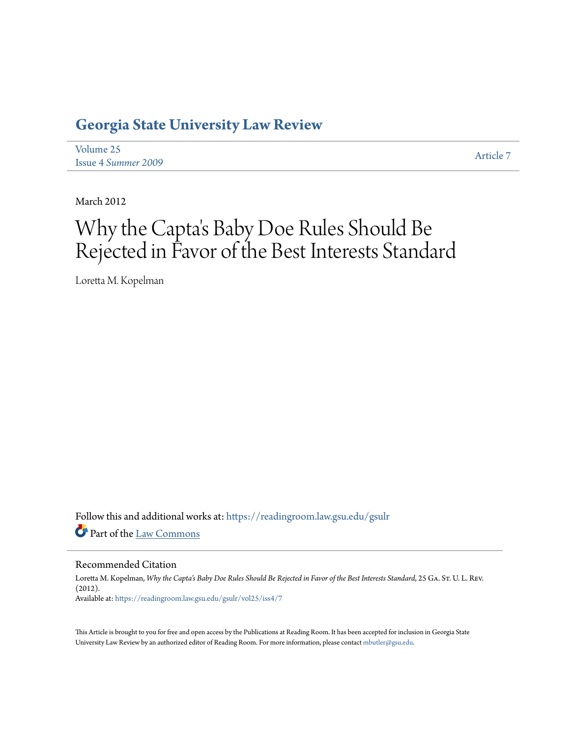# **[Georgia State University Law Review](https://readingroom.law.gsu.edu/gsulr?utm_source=readingroom.law.gsu.edu%2Fgsulr%2Fvol25%2Fiss4%2F7&utm_medium=PDF&utm_campaign=PDFCoverPages)**

[Volume 25](https://readingroom.law.gsu.edu/gsulr/vol25?utm_source=readingroom.law.gsu.edu%2Fgsulr%2Fvol25%2Fiss4%2F7&utm_medium=PDF&utm_campaign=PDFCoverPages) Issue 4 *[Summer 2009](https://readingroom.law.gsu.edu/gsulr/vol25/iss4?utm_source=readingroom.law.gsu.edu%2Fgsulr%2Fvol25%2Fiss4%2F7&utm_medium=PDF&utm_campaign=PDFCoverPages)* [Article 7](https://readingroom.law.gsu.edu/gsulr/vol25/iss4/7?utm_source=readingroom.law.gsu.edu%2Fgsulr%2Fvol25%2Fiss4%2F7&utm_medium=PDF&utm_campaign=PDFCoverPages)

March 2012

# Why the Capta 's Baby Doe Rules Should Be Rejected in Favor of the Best Interests Standard

Loretta M. Kopelman

Follow this and additional works at: [https://readingroom.law.gsu.edu/gsulr](https://readingroom.law.gsu.edu/gsulr?utm_source=readingroom.law.gsu.edu%2Fgsulr%2Fvol25%2Fiss4%2F7&utm_medium=PDF&utm_campaign=PDFCoverPages) Part of the [Law Commons](http://network.bepress.com/hgg/discipline/578?utm_source=readingroom.law.gsu.edu%2Fgsulr%2Fvol25%2Fiss4%2F7&utm_medium=PDF&utm_campaign=PDFCoverPages)

Recommended Citation

Loretta M. Kopelman, *Why the Capta's Baby Doe Rules Should Be Rejected in Favor of the Best Interests Standard*, 25 Ga. St. U. L. Rev. (2012). Available at: [https://readingroom.law.gsu.edu/gsulr/vol25/iss4/7](https://readingroom.law.gsu.edu/gsulr/vol25/iss4/7?utm_source=readingroom.law.gsu.edu%2Fgsulr%2Fvol25%2Fiss4%2F7&utm_medium=PDF&utm_campaign=PDFCoverPages)

This Article is brought to you for free and open access by the Publications at Reading Room. It has been accepted for inclusion in Georgia State University Law Review by an authorized editor of Reading Room. For more information, please contact [mbutler@gsu.edu.](mailto:mbutler@gsu.edu)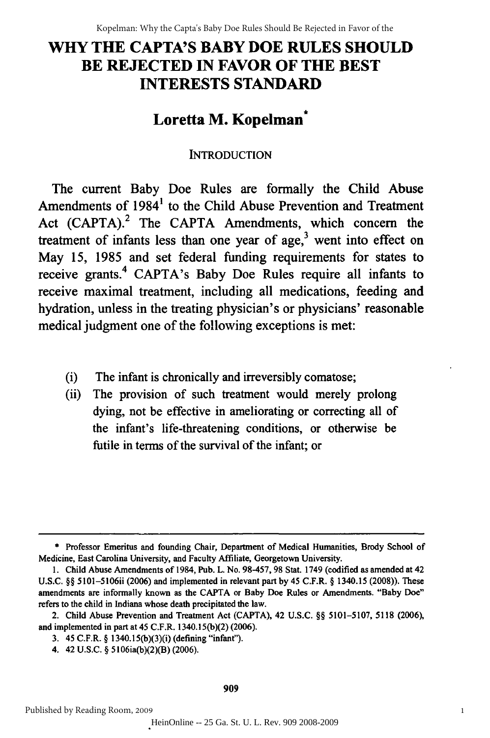# **WHY THE CAPTA'S BABY DOE RULES SHOULD WHY THE CAPTA'S BABY DOE RULES SHOULD BE REJECTED IN FAVOR OF THE BEST BE REJECTED IN FAVOR OF THE BEST INTERESTS STANDARD** INTERESTS STANDARD

# **Loretta M. Kopelman\* Loretta M. Kopelman** \*

## INTRODUCTION INTRODUCTION

The current Baby Doe Rules are formally the Child Abuse The current Baby Doe Rules are formally the Child Abuse Amendments of  $1984<sup>1</sup>$  to the Child Abuse Prevention and Treatment Act (CAPTA).<sup>2</sup> The CAPTA Amendments, which concern the treatment of infants less than one year of age, $3$  went into effect on May **15, 1985** and set federal funding requirements for states to May IS, 1985 and set federal funding requirements for states to receive grants.<sup>4</sup> CAPTA's Baby Doe Rules require all infants to receive maximal treatment, including all medications, feeding and hydration, unless in the treating physician's or physicians' reasonable hydration, unless in the treating physician's or physicians' reasonable medical judgment one of the following exceptions is met: medical judgment one of the following exceptions is met:

- (i) The infant is chronically and irreversibly comatose; (i) The infant is chronically and irreversibly comatose;
- (ii) The provision of such treatment would merely prolong (ii) The provision of such treatment would merely prolong dying, not be effective in ameliorating or correcting all of the infant's life-threatening conditions, or otherwise be infant's life-threatening conditions, or otherwise be futile in terms of the survival of the infant; or

**<sup>\*</sup>** Professor Emeritus and founding Chair, Department of Medical Humanities, Brody School of • Professor Emeritus and founding Chair, Department of Medical Humanities, Brody School of Medicine, East Carolina University, and Faculty Affiliate, Georgetown University.

<sup>1.</sup> Child Abuse Amendments of 1984, Pub. L. No. 98-457, 98 Stat. 1749 (codified as amended at 42 U.S.C. §§ 5101-5106ii (2006) and implemented in relevant part by 45 C.F.R. § 1340.15 (2008)). These amendments are informally known as the CAPTA or Baby Doe Rules or Amendments. "Baby Doe" refers to the child in Indiana whose death precipitated the law. refers to the child in Indiana whose death precipitated the law.

<sup>2.</sup> Child Abuse Prevention and Treatment Act (CAPTA), 42 U.S.C. §§ 5101-5107, 5118 (2006), 2. Child Abuse Prevention and Treatment Act (CAPTA), 42 U.S.C. §§ 5101-SI07, SI18 (2006), and implemented in part at 45 C.F.R. 1340.15(b)(2) (2006).

<sup>3. 45</sup> C.F.R. § 1340.15(b)(3)(i) (defining "infant").

<sup>4. 42</sup> U.S.C. § 5106ia(b)(2)(B) (2006). 42 U.S.C. § 5106ia(b)(2)(B)(2006).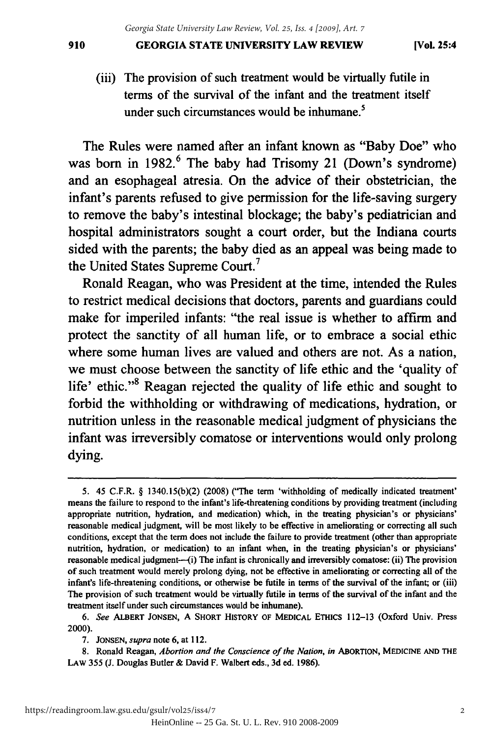#### **GEORGIA STATE UNIVERSITY LAW REVIEW** 910 GEORGIA STATE UNIVERSITY LAW REVIEW [VoL 25:4

(iii) The provision of such treatment would be virtually futile in (iii) The provision of such treatment would be virtually futile in terms of the survival of the infant and the treatment itself under such circumstances would be inhumane.<sup>5</sup>

The Rules were named after an infant known as "Baby Doe" who The Rules were named after an infant known as "Baby Doe" who was born in 1982.<sup>6</sup> The baby had Trisomy 21 (Down's syndrome) and an esophageal atresia. On the advice of their obstetrician, the infant's parents refused to give permission for the life-saving surgery infant's parents refused to give permission for the life-saving surgery to remove the baby's intestinal blockage; the baby's pediatrician and to remove the baby's intestinal blockage; the baby's pediatrician and hospital administrators sought a court order, but the Indiana courts hospital administrators sought a court order, but the Indiana courts sided with the parents; the baby died as an appeal was being made to the United States Supreme Court.<sup>7</sup>

Ronald Reagan, who was President at the time, intended the Rules Ronald Reagan, who was President at the time, intended the Rules to restrict medical decisions that doctors, parents and guardians could to restrict medical decisions that doctors, parents and guardians could make for imperiled infants: "the real issue is whether to affirm and make for imperiled infants: "the real issue is whether to affirm and protect the sanctity of all human life, or to embrace a social ethic protect the sanctity of all human life, or to embrace a social ethic where some human lives are valued and others are not. As a nation, where some human lives are valued and others are not. As a nation, we must choose between the sanctity of life ethic and the 'quality of we must choose between the sanctity of life ethic and the 'quality of life' ethic."<sup>8</sup> Reagan rejected the quality of life ethic and sought to forbid the withholding or withdrawing of medications, hydration, or nutrition unless in the reasonable medical judgment of physicians the nutrition unless in the reasonable medical judgment of physicians the infant was irreversibly comatose or interventions would only prolong dying. dying.

<sup>5. 45</sup> C.F.R. **§** 1340.15(b)(2) (2008) ("The term 'withholding of medically indicated treatment' 5. 45 C.F.R. § 1340.15(b)(2) (200S) ("The term 'withholding medically treatment' means the failure to respond to the infant's life-threatening conditions by providing treatment (including means the failure to respond to the infant's life-threatening conditions by providing treatment (including appropriate nutrition, hydration, and medication) which, in the treating physician's or physicians' appropriate nutrition, hydration, medication) which, in the treating physician's physicians' reasonable medical judgment, will be most likely to be effective in ameliorating or correcting all such reasonable medical judgment, will be most likely to be effective in ameliorating or correcting all such conditions, except that the term does not include the failure to provide treatment (other than appropriate nutrition, hydration, or medication) to an infant when, in the treating physician's or physicians' nutrition, hydration, or medication) to an infant when, in the treating physician's physicians' reasonable medical judgment---(i) The infant is chronically and irreversibly comatose: (ii) The provision of such treatment would merely prolong dying, not be effective in ameliorating or correcting all of the infant's life-threatening conditions, or otherwise be futile in terms of the survival of the infant; or (iii) The provision of such treatment would be virtually futile in terms of the survival of the infant and the treatment itself under such circumstances would be inhumane).

*<sup>6.</sup> See* **ALBERT JONSEN, A SHORT HISTORY OF MEDICAL** ETHICS **112-13** (Oxford Univ. Press *6. See* ALBERT JONSEN, A SHORT HISTORY OF MEDICAL ETHICS 112-13 (Oxford Univ. Press 2000). 2000).

**<sup>7.</sup> JONSEN,** *supra* note **6,** at 112. 7. JONSEN, *supra* note 6, at 112.

**<sup>8.</sup>** Ronald Reagan, *Abortion and the Conscience of the Nation, in* **ABORTION, MEDICINE AND** THE S. Ronald Reagan, *Abortion and the Conscience of Nation,* ABORTION, MEDICINE AND THE **LAW 355 (J.** Douglas Butler & David F. Walbert eds., **3d** ed. **1986).** LAW 355 (J. Douglas Butler & David F. Walbert eds., 3d ed. 19S6).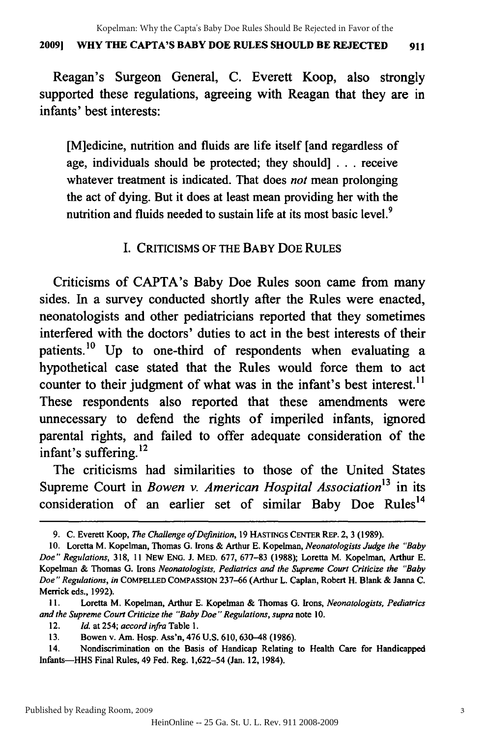#### **20091 WHY THE CAPTA'S BABY DOE RULES SHOULD BE REJECTED 911** 2009) WHY THE CAPTA'S BABY DOE RULES SHOULD BE REJECTED 911

Reagan's Surgeon General, **C.** Everett Koop, also strongly Reagan's Surgeon General, C. Everett Koop, also strongly supported these regulations, agreeing with Reagan that they are in infants' best interests: infants' best interests:

[M]edicine, nutrition and fluids are life itself [and regardless of [M]edicine, nutrition and fluids are life itself [and regardless of age, individuals should be protected; they should] **. . .** receive age, individuals should be protected; they should] . . . receive whatever treatment is indicated. That does not mean prolonging whatever treatment is indicated. That does *not* mean prolonging the act of dying. But it does at least mean providing her with the the act of dying. But it does at least mean providing her with the nutrition and fluids needed to sustain life at its most basic level.<sup>9</sup>

### **I.** CRITICISMS OF **THE** BABY **DOE RULES** I. CRITICISMS OF THE BABY DOE RULES

Criticisms of CAPTA's Baby Doe Rules soon came from many Criticisms of CAPTA's Baby Doe Rules soon came from many sides. In a survey conducted shortly after the Rules were enacted, neonatologists and other pediatricians reported that they sometimes neonatologists and other pediatricians reported that they sometimes interfered with the doctors' duties to act in the best interests of their interfered with the doctors' duties to act in the best interests of their patients.<sup>10</sup> Up to one-third of respondents when evaluating a hypothetical case stated that the Rules would force them to act counter to their judgment of what was in the infant's best interest.<sup>11</sup> These respondents also reported that these amendments were These respondents also reported that these amendments were unnecessary to defend the rights of imperiled infants, ignored unnecessary defend the rights of imperiled infants, ignored parental rights, and failed to offer adequate consideration of the .<br>infant's suffering.<sup>12</sup>

The criticisms had similarities to those of the United States The criticisms had similarities those of the United States Supreme Court in *Bowen v. American Hospital Association*<sup>13</sup> in its expressive court in Bower of time rear response in second in the consideration of an earlier set of similar Baby Doe Rules<sup>14</sup>

<sup>9.</sup> C. Everett Koop, *The Challenge of Definition*, 19 HASTINGS CENTER REP. 2, 3 (1989).

**<sup>10.</sup>** Loretta M. Kopelman, Thomas **G.** Irons **&** Arthur **E.** Kopelman, *Neonatologists Judge the "'Baby* 10. M. Kopelman, Thomas G. & Arthur E. Kopelman, *Neonatologists Judge the "Baby Doe" Regulations,* 318, **11** NEW ENG. **J.** MED. 677, 677-83 (1988); Loretta M. Kopelman, Arthur E. *Doe" Regulations,* 318, II NEW ENG. 1. MED. 677,677-83 (1988); Loretta M. Kopelman, Arthur E. Kopelman & Thomas **G.** Irons *Neonatologists, Pediatrics and the Supreme Court Criticize the "Baby* Kopelman & Thomas G. Irons *Neonatologists, Pediatrics and the Supreme Court Criticize the "Baby*  Doe" Regulations, in COMPELLED COMPASSION 237-66 (Arthur L. Caplan, Robert H. Blank & Janna C. Merrick eds., 1992). Merrick eds., 1992).

<sup>11.</sup> Loretta M. Kopelman, Arthur E. Kopelman & Thomas G. Irons, *Neonatologists, Pediatrics* and the Supreme Court Criticize the "Baby Doe" Regulations, supra note 10.

<sup>12.</sup> *Id.* at 254; *accord infra* Table **1.** *12. Id.* at 254; *accord infra* Table I.

<sup>13.</sup> Bowen v. Am. Hosp. Ass'n, 476 U.S. 610,630-48 (1986). 13. Bowen v. Am. Hosp. Ass'n, 476 U.S. 610, 630-48 (1986).

<sup>14.</sup> Nondiscrimination on the Basis of Handicap Relating to Health Care for Handicapped 14. Nondiscrimination on the Basis of Handicap Relating to Health Care for Handicapped Infants-HHS Final Rules, 49 Fed. Reg. 1,622-54 (Jan. 12, 1984). Infants-HHS Final Rules, 49 Fed. Reg. 1,622-54 (Jan. 12, 1984).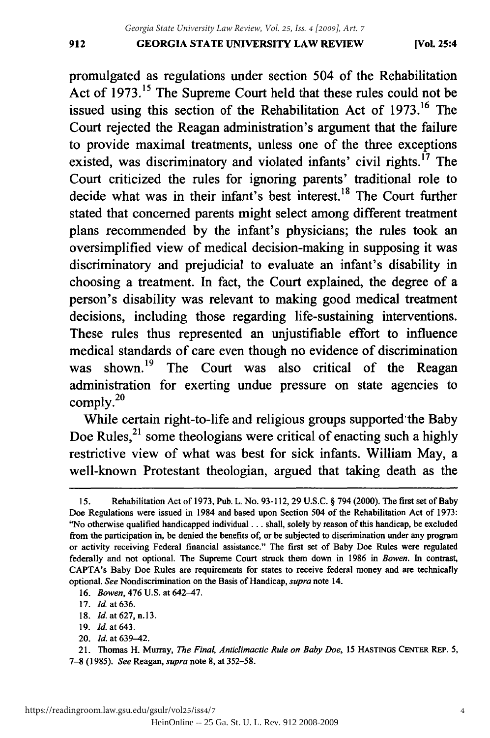promulgated as regulations under section 504 of the Rehabilitation promulgated regulations under section 504 of Rehabilitation Act of 1973.<sup>15</sup> The Supreme Court held that these rules could not be issued using this section of the Rehabilitation Act of 1973.<sup>16</sup> The Court rejected the Reagan administration's argument that the failure Court Reagan administration's argument that failure to provide maximal treatments, unless one of the three exceptions to provide maximal treatments, unless one of the three exceptions existed, was discriminatory and violated infants' civil rights.<sup>17</sup> The Court criticized the rules for ignoring parents' traditional role to Court criticized the rules for ignoring parents' traditional to decide what was in their infant's best interest.<sup>18</sup> The Court further stated that concerned parents might select among different treatment stated that concerned parents might select among different treatment plans recommended by the infant's physicians; the rules took an plans recommended by the infant's physicians; the rules took an oversimplified view of medical decision-making in supposing it was oversimplified view of medical decision-making in supposing it was discriminatory and prejudicial to evaluate an infant's disability in discriminatory and prejudicial to evaluate infant's disability in choosing a treatment. In fact, the Court explained, the degree of a choosing a treatment. In fact, the Court explained, the degree of a person's disability was relevant to making good medical treatment decisions, including those regarding life-sustaining interventions. These rules thus represented an unjustifiable effort to influence These rules thus represented an unjustifiable effort to influence medical standards of care even though no evidence of discrimination medical standards of care even though no evidence of discrimination was shown.<sup>19</sup> The Court was also critical of the Reagan administration for exerting undue pressure on state agencies to administration for exerting undue pressure on state agencies to  $\text{complex}^{\text{20}}$ 

While certain right-to-life and religious groups supported the Baby Doe Rules, $^{21}$  some theologians were critical of enacting such a highly restrictive view of what was best for sick infants. William May, a restrictive view of what was best for sick infants. William May, a well-known Protestant theologian, argued that taking death as the

<sup>15.</sup> Rehabilitation Act of 1973, Pub. L. No. 93-112, 29 U.S.C. **§** 794 (2000). The first set of Baby 15. Rehabilitation Act of 1973, Pub. L. No. 93-112, 29 U.S.C. § 794 (2000). The first set of Baby<br>Doe Regulations were issued in 1984 and based upon Section 504 of the Rehabilitation Act of 1973: "No otherwise qualified handicapped individual... shall, solely by reason of this handicap, be excluded ''No otherwise qualified handicapped individual ... shall, solely by reason of this handicap, be excluded from the participation in, be denied the benefits of, or be subjected to discrimination under any program from the participation in, be denied the benefits of, or be subjected to discrimination under any program or activity receiving Federal financial assistance." The first set of Baby Doe Rules were regulated<br>federally and not optional. The Supreme Court struck them down in 1986 in Bowen. In contrast, federally and not optional. The Supreme Court struck them down in **1986** in *Bowen.* In contrast, CAPTA's Baby Doe Rules are requirements for states to receive federal money and are technically optional. See Nondiscrimination on the Basis of Handicap, *supra* note 14. optional. *See* Nondiscrimination on the Basis of Handicap, *supra* note 14.

<sup>16.</sup> *Bowen*, 476 U.S. at 642-47.

**<sup>17.</sup>** *Id.* at **636.** *17. Id.* at 636.

**<sup>18.</sup>** *Id.* at **627, n.13.** *18. Id.* at 627, n.13.

**<sup>19.</sup>** *Id.* at 643. *19. Id.* 643.

<sup>20.</sup> *Id.* at 639-42. *20.* /d. at 639-42.

<sup>21.</sup> Thomas H. Murray, *The Final, Anticlimactic Rule on Baby Doe,* 15 HASTINGS CENTER REP. **5,** 21. Thomas H. Murray, *The Final, Anticlimactic Rule on Baby Doe,* 15 HASTINGS CENTER REp. 5, 7-8 (1985). *See* Reagan, *supra* note 8, at 352-58. 7-8 (1985). *See* Reagan, *supra* note 8, at 352-58.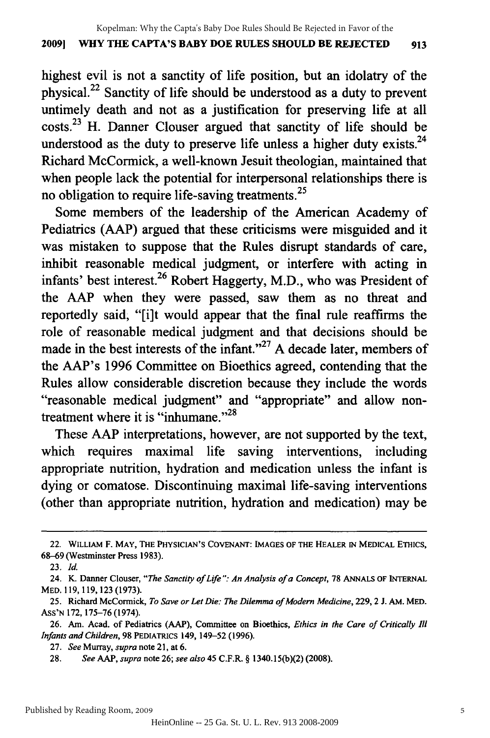### **2009] WHY THE CAPTA'S BABY DOE RULES SHOULD BE REJECTED 913** 2009] WHY THE CAPTA'S BABY DOE RULES SHOULD BE REJECTED 913

highest evil is not a sanctity of life position, but an idolatry of the highest evil is not a sanctity of life position, but an idolatry of the physical.<sup>22</sup> Sanctity of life should be understood as a duty to prevent untimely death and not as a justification for preserving life at all untimely death and not as a justification for preserving life at all costs.<sup>23</sup> H. Danner Clouser argued that sanctity of life should be understood as the duty to preserve life unless a higher duty exists. $^{24}$ Richard McCormick, a well-known Jesuit theologian, maintained that Richard McCormick, a well-known Jesuit theologian, maintained that when people lack the potential for interpersonal relationships there is when people lack the potential for interpersonal relationships there is no obligation to require life-saving treatments.<sup>25</sup>

Some members of the leadership of the American Academy of Pediatrics (AAP) argued that these criticisms were misguided and it Pediatrics (AAP) argued that these criticisms were misguided and it was mistaken to suppose that the Rules disrupt standards of care, was mistaken to suppose that the Rules disrupt standards of care, inhibit reasonable medical judgment, or interfere with acting in infants' best interest.<sup>26</sup> Robert Haggerty, M.D., who was President of the AAP when they were passed, saw them as no threat and reportedly said, "[i]t would appear that the final rule reaffirms the reportedly said; "[i]t would appear that the final rule reaffirms the role of reasonable medical judgment and that decisions should be made in the best interests of the infant."<sup>27</sup> A decade later, members of the AAP's 1996 Committee on Bioethics agreed, contending that the the AAP's 1996 Committee on Bioethics agreed, contending that the Rules allow considerable discretion because they include the words Rules allow considerable discretion because they include words "reasonable medical judgment" and "appropriate" and allow nontreatment where it is "inhumane."<sup>28</sup>

These AAP interpretations, however, are not supported by the text, which requires maximal life saving interventions, including appropriate nutrition, hydration and medication unless the infant is appropriate nutrition, hydration and medication unless the infant is dying or comatose. Discontinuing maximal life-saving interventions dying or comatose. Discontinuing maximal life-saving interventions (other than appropriate nutrition, hydration and medication) may be (other than appropriate nutrition, hydration and medication) may be

<sup>22.</sup> WILLIAM F. **MAY, THE PHYSICIAN'S COVENANT: IMAGES OF THE HEALER IN MEDICAL ETHICS,** 22. WILLIAM F. MAY, THE PHYSICIAN'S COVENANT: IMAGES OF THE HEALER IN MEDICAL ETHICS, **68-69** (Westminster Press **1983).** 68--69 (Westminster Press 1983).

**<sup>23.</sup>** *Id. 23. Id.* 

<sup>24.</sup> K. Danner Clouser, "The Sanctity of Life": An Analysis of a Concept, 78 ANNALS OF INTERNAL MED. **119, 119,123 (1973).** MED. 119, 119, 123 (1973).

**<sup>25.</sup>** Richard McCormick, *To Save or Let Die: The Dilemma of Modern Medicine,* **229,** 2 **J. AM.** MED. 25. Richard McCormick, *To Save or Let Die: The Dilemma of Modem Medicine,* 229, 2 J. AM. MED. **ASS'N 172,175-76** (1974). AsS'N 172, 175-76(1974).

<sup>26.</sup> Am. Acad. of Pediatrics (AAP), Committee on Bioethics, Ethics in the Care of Critically Ill *Infants and* Children, **98 PEDIATRICS** 149, 149-52 **(1996).** *Infants and Children,* 98 PEDIATRICS 149, 149-52 (1996).

**<sup>27.</sup>** See **Murray,** *supra* **note** 21, at **6.** *27. See* Murray, *supra* note 21, at 6.

**<sup>28.</sup>** See *AAP, supra* **note 26;** see also *45* C.F.R. **§ 1340.15(b)(2) (2008).** *28. See* AAP, *supra* note 26; *see also* 45 C.F.R. § 1340.15(b)(2) (2008).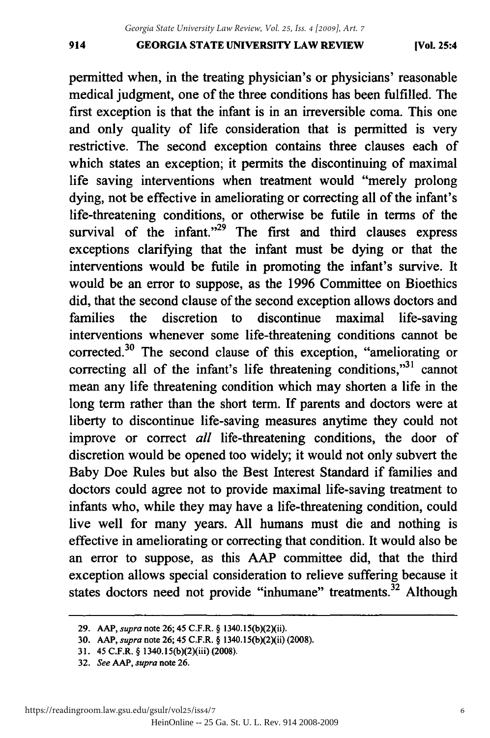#### **GEORGIA STATE UNIVERSITY LAW REVIEW** 914 GEORGIA STATE UNIVERSITY LAW REVIEW (Vol. 25:4

permitted when, in the treating physician's or physicians' reasonable permitted when, in the treating physician's or physicians' reasonable medical judgment, one of the three conditions has been fulfilled. The medical judgment, one of three conditions has been fulfilled. The first exception is that the infant is in an irreversible coma. This one first exception is that the infant is in an irreversible coma. This one and only quality of life consideration that is permitted is very restrictive. The second exception contains three clauses each of which states an exception; it permits the discontinuing of maximal which states an exception; it permits the discontinuing of maximal life saving interventions when treatment would "merely prolong dying, not be effective in ameliorating or correcting all of the infant's life-threatening conditions, or otherwise be futile in terms of the survival of the infant. $n^{29}$  The first and third clauses express exceptions clarifying that the infant must be dying or that the interventions would be futile in promoting the infant's survive. It interventions would be futile in promoting the infant's survive. It would be an error to suppose, as the 1996 Committee on Bioethics would be an error to suppose, as the 1996 Committee on Bioethics did, that the second clause of the second exception allows doctors and did, that the second clause of the second exception allows doctors and families the discretion to discontinue maximal life-saving families the discretion to discontinue maximal life-saving interventions whenever some life-threatening conditions cannot be interventions whenever some life-threatening conditions cannot be corrected.<sup>30</sup> The second clause of this exception, "ameliorating or correcting all of the infant's life threatening conditions, $v^{31}$  cannot mean any life threatening condition which may shorten a life in the long term rather than the short term. If parents and doctors were at liberty to discontinue life-saving measures anytime they could not liberty to discontinue life-saving measures anytime they could not improve or correct *all* life-threatening conditions, the door of improve or correct *all* life-threatening conditions, the door of discretion would be opened too widely; it would not only subvert the Baby Doe Rules but also the Best Interest Standard if families and Baby Doe Rules but the Interest Standard if families and doctors could agree not to provide maximal life-saving treatment to doctors could agree maximal life-saving treatment to infants who, while they may have a life-threatening condition, could infants who, while they may have a life-threatening condition, could live well for many years. All humans must die and nothing is live well for many years. All humans must die and nothing is effective in ameliorating or correcting that condition. It would also be effective in ameliorating or correcting that condition. It would also be an error to suppose, as this AAP committee did, that the third an error to suppose, as this AAP committee did, that the third exception allows special consideration to relieve suffering because it exception allows special consideration to relieve suffering because it states doctors need not provide "inhumane" treatments.<sup>32</sup> Although

<sup>29.</sup> AAP, *supra* note 26; 45 C.F.R. § 1340.15(b)(2)(ii).

<sup>30.</sup> AAP, *supra* note 26; 45 C.F.R. § 1340.15(b)(2)(ii) (2008).

**<sup>31.</sup>** 45 C.F.R. **§** 1340.15(b)(2)(iii) **(2008).** 31. 45 C.F.R. § 1340. I 5(b)(2)(iii) (2008).

**<sup>32.</sup>** *See AAP, supra* note **26.** *32. See* AAP, *supra* note 26.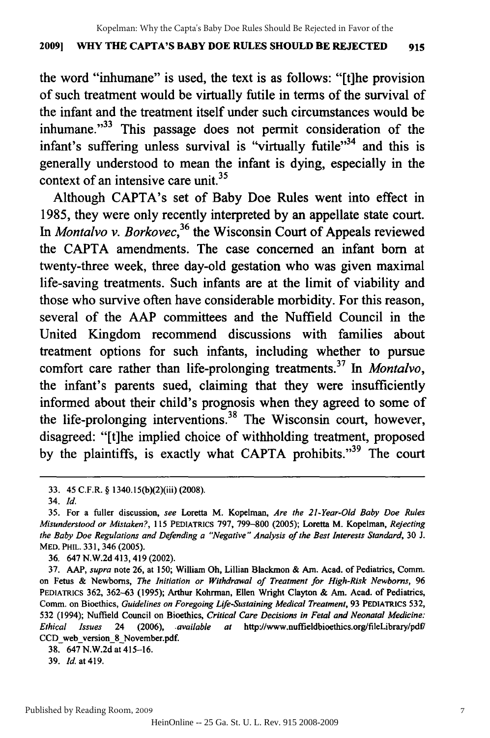#### **2009] WHY THE CAPTA'S BABY DOE RULES SHOULD BE REJECTED 915** 2009] WHY THE CAPTA'S BABY DOE RULES SHOULD BE REJECTED 915

the word "inhumane" is used, the text is as follows: "[t]he provision the word "inhumane" is used, the text is as follows: "[t]he provision of such treatment would be virtually futile in terms of the survival of of such treatment would be virtually futile in terms of the survival of the infant and the treatment itself under such circumstances would be the infant and the treatment itself under such circumstances would be inhumane."<sup>33</sup> This passage does not permit consideration of the infant's suffering unless survival is "virtually futile"<sup>34</sup> and this is generally understood to mean the infant is dying, especially in the generally understood to mean the infant is dying, especially in the  $\frac{1}{2}$  context of an intensive care unit.<sup>35</sup>

Although CAPTA's set of Baby Doe Rules went into effect in 1985, they were only recently interpreted by an appellate state court. 1985, they were only recently interpreted by an appellate state court. *In Montalvo v. Borkovec,36* the Wisconsin Court of Appeals reviewed In *Montalvo v. Borkovec,36* the Wisconsin Court of Appeals reviewed the CAPTA amendments. The case concerned an infant born at the CAPTA amendments. The case concerned an infant born at twenty-three week, three day-old gestation who was given maximal twenty-three week, three day-old gestation who was given maximal life-saving treatments. Such infants are at the limit of viability and life-saving treatments. Such infants are at the limit of viability and those who survive often have considerable morbidity. For this reason, those who survive often have considerable morbidity. For this reason, several of the AAP committees and the Nuffield Council in the United Kingdom recommend discussions with families about treatment options for such infants, including whether to pursue treatment options for such infants, including whether to pursue comfort care rather than life-prolonging treatments. 37 In *Montalvo,* comfort care rather than life-prolonging treatments.37 In *Montalvo,*  the infant's parents sued, claiming that they were insufficiently the infant's parents sued, claiming that they were insufficiently informed about their child's prognosis when they agreed to some of informed about their child's prognosis when they agreed to some of the life-prolonging interventions.<sup>38</sup> The Wisconsin court, however, disagreed: "[t]he implied choice of withholding treatment, proposed disagreed: "[t]he implied choice of withholding treatment, proposed by the plaintiffs, is exactly what CAPTA prohibits."<sup>39</sup> The court

39. **Id.** at 419. 39. *Id.at419.* 

<sup>33. 45</sup> C.F.R. **§** 1340.15(b)(2)(iii) **(2008).** 33. 45 C.F.R. § 1340.15(b)(2)(iii) (2008).

<sup>34.</sup> *Id. 34. Id.* 

<sup>35.</sup> For a fuller discussion, *see* Loretta M. Kopelman, *Are the 21-Year-Old Baby Doe Rules* 35. For a fuller discussion, *see* Loretta M. Kopelman, *Are the 21-Year-Old Baby Doe Rules Misunderstood or Mistaken?,* 115 PEDIATRICS 797, 799-800 (2005); Loretta M. Kopelman, *Rejecting Misunderstood or Mistaken?,* 115 PEDIATRICS 797, 799-800 (2005); Loretta M. Kopelman, *Rejecting the Baby Doe Regulations and Defending a "Negative" Analysis of the Best Interests Standard,* 30 J. *the Baby Doe Regulations and Defending a "Negative" Analysis of the Best Interests Standard,* 30 1. MED. PHIL. **331,** 346 (2005). MED. PHIL. 331, 346 (2005).<br>36. 647 N.W.2d 413, 419 (2002).<br>37. AAP, *supra* note 26, at 150; William Oh, Lillian Blackmon & Am. Acad. of Pediatrics, Comm.

<sup>36. 647</sup> N.W.2d 413,419(2002).

on Fetus **&** Newborns, *The Initiation or Withdrawal of Treatment for High-Risk Newborns,* 96 on Fetus & Newborns, *The Initiation or Withdrawal of Treatment for High-Risk Newborns, 96*  PEDIATRICS 362, 362-63 (1995); Arthur Kohrman, Ellen Wright Clayton **&** Am. Acad. of Pediatrics, PEDIATRICS 362, 362-63 (1995); Arthur Kohrrnan, Ellen Wright Clayton & Am. Acad. of Pediatrics, Comm. on Bioethics, *Guidelines on Foregoing Life-Sustaining Medical Treatment,* 93 PEDIATRICS 532, Cornm. on Bioethics, *Guidelines on Foregoing Life-Sustaining Medical Treatment,* 93 PEDIATRICS 532, 532 (1994); Nuffield Council on Bioethics, *Critical Care Decisions in Fetal and Neonatal Medicine:* 532 (1994); Nuffield Council on Bioethics, *Critical Care Decisions in Fetal and Neonatal Medicine:*  Ethical Issues 24 (2006), available at http://www.nuffieldbioethics.org/fileLibrary/pdf/<br>CCD\_web\_version\_8\_November.pdf.<br>38. 647 N.W.2d at 415–16. CCD web version\_8 November.pdf.

<sup>38. 647</sup> N.W.2d at 415-16.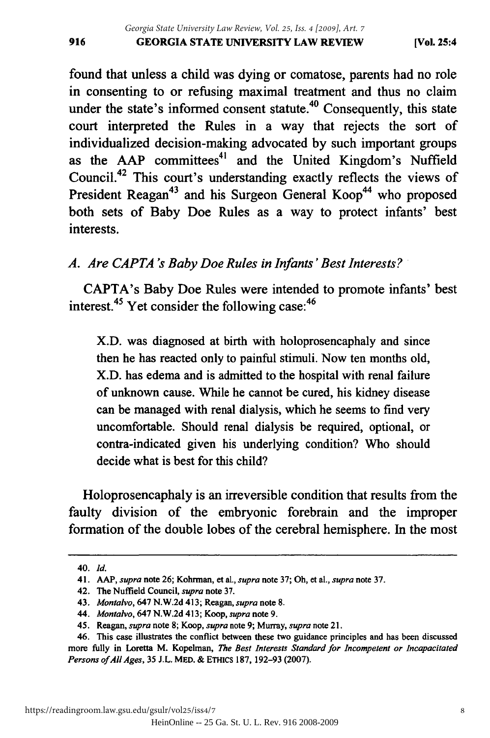found that unless a child was dying or comatose, parents had no role found that unless a child was dying or comatose, parents had no role in consenting to or refusing maximal treatment and thus no claim in consenting to or refusing maximal treatment and thus no claim under the state's informed consent statute.<sup>40</sup> Consequently, this state court interpreted the Rules in a way that rejects the sort of individualized decision-making advocated by such important groups individualized decision-making advocated by such important groups as the AAP committees<sup>41</sup> and the United Kingdom's Nuffield Council.42 This court's understanding exactly reflects the views of Counci1.42 This court's understanding exactly reflects the views of President Reagan<sup>43</sup> and his Surgeon General Koop<sup>44</sup> who proposed both sets of Baby Doe Rules as a way to protect infants' best both sets of Baby Doe Rules as a way to protect infants' best interests. interests.

# A. Are CAPTA's Baby Doe Rules in Infants' Best Interests?

CAPTA's Baby Doe Rules were intended to promote infants' best interest. 45 Yet consider the following case:<sup>46</sup> interest.45 Yet consider the following case:46

X.D. was diagnosed at birth with holoprosencaphaly and since X.D. was diagnosed at birth with holoprosencaphaly and since then he has reacted only to painful stimuli. Now ten months old, then he has reacted only to painful stimuli. Now ten months old, X.D. has edema and is admitted to the hospital with renal failure X.D. has edema and is admitted to the hospital with renal failure of unknown cause. While he cannot be cured, his kidney disease of unknown cause. While he cannot be cured, his kidney disease can be managed with renal dialysis, which he seems to find very uncomfortable. Should renal dialysis be required, optional, or uncomfortable. Should renal dialysis be required, optional, or contra-indicated given his underlying condition? Who should decide what is best for this child? decide what is best for this child?

Holoprosencaphaly is an irreversible condition that results from the Holoprosencaphaly is an irreversible condition that results from the faulty division of the embryonic forebrain and the improper faulty division of the embryonic forebrain and the improper formation of the double lobes of the cerebral hemisphere. In the most formation of the double lobes of the cerebral hemisphere. In the most

**<sup>40.</sup>** *Id. 40. Id.* 

<sup>41.</sup> AAP, *supra* note 26; Kohrman, et al., *supra* note 37; Oh, et al., *supra* note 37. 41. AAP, *supra* note 26; Kohnnan, et aI., *supra* note 37; Oh, et aI., *supra* note 37.

<sup>42.</sup> The Nuffield Council, *supra* note 37. 42. The Nuffield Council, *supra* note 37.

<sup>43.</sup> Montalvo, 647 N.W.2d 413; Reagan, *supra* note 8. *43. Manta/va,* 647 N.W.2d 413; Reagan, *supra* note 8.

<sup>44.</sup> Montalvo, 647 N.W.2d 413; Koop, *supra* note 9. *44. Montalvo,* 647 N.W.2d 413; Koop, *supra* note 9.

<sup>45.</sup> Reagan, supra note 8; Koop, *supra* note 9; Murray, *supra* note 21. 45. Reagan, *supra* note 8; Koop, *supra* note 9; Murray, *supra* note 21.

<sup>46.</sup> This case illustrates the conflict between these two guidance principles and has been discussed 46. This case illustrates the conflict between these two guidance principles and has been discussed more fully in Loretta M. Kopelman, *The Best Interests Standard for Incompetent or Incapacitated* more fully in Loretta M. Kopelman, *The Best Interests Standard for Incompetent or Incapacitated Persons ofAllAges,* 35 J.L. MED. & ETHiCS 187, 192-93 (2007). *Persons of All Ages,* 35 J.L. MED. & ETHICS 187, 192-93 (2007).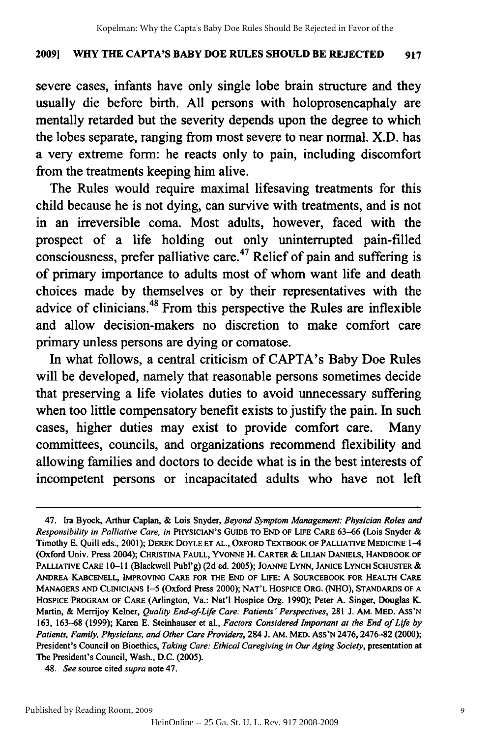#### **20091 WHY THE CAPTA'S BABY DOE RULES SHOULD BE REJECTED 917** 2009] WHY THE CAPTA'S BABY DOE RULES SHOULD BE REJECTED 917

severe cases, infants have only single lobe brain structure and they usually die before birth. All persons with holoprosencaphaly are mentally retarded but the severity depends upon the degree to which mentally retarded but the severity depends upon the degree to which the lobes separate, ranging from most severe to near normal. X.D. has the lobes separate, ranging from most severe to near nonnal. X.D. has a very extreme form: he reacts only to pain, including discomfort a very extreme form: he reacts only to pain, including discomfort from the treatments keeping him alive.

The Rules would require maximal lifesaving treatments for this The Rules would require maximal lifesaving treatments for this child because he is not dying, can survive with treatments, and is not child because he is not dying, can survive with treatments, and is not in an irreversible coma. Most adults, however, faced with the prospect of a life holding out only uninterrupted pain-filled prospect of a life holding out only uninterrupted pain-filled consciousness, prefer palliative care.<sup>47</sup> Relief of pain and suffering is of primary importance to adults most of whom want life and death choices made **by** themselves or **by** their representatives with the choices made by themselves or by their representatives the advice of clinicians.<sup>48</sup> From this perspective the Rules are inflexible and allow decision-makers no discretion to make comfort care and allow decision-makers no discretion to make comfort care primary unless persons are dying or comatose. primary unless persons are comatose.

In what follows, a central criticism of CAPTA's Baby Doe Rules In what follows, a central criticism of CAPTA's Baby Doe Rules will be developed, namely that reasonable persons sometimes decide that preserving a life violates duties to avoid unnecessary suffering that preserving a life violates duties to avoid unnecessary suffering when too little compensatory benefit exists to justify the pain. In such when too little compensatory benefit exists to justify the pain. In such cases, higher duties may exist to provide comfort care. Many committees, councils, and organizations recommend flexibility and allowing families and doctors to decide what is in the best interests of allowing families and doctors to decide what is in the best interests of incompetent persons or incapacitated adults who have not left incompetent persons or incapacitated adults who have not left

<sup>47.</sup> Ira Byock, Arthur Caplan, & Lois Snyder, *Beyond Symptom Management: Physician Roles and* Ira Byock, Arthur & Lois *Management: Physician Roles and*  Responsibility in Palliative Care, in PHYSICIAN'S GUIDE TO END OF LIFE CARE 63-66 (Lois Snyder & Timothy E. Quill eds., 2001); DEREK DOYLE ET AL., OXFORD TEXTBOOK OF PALLIATIVE MEDICINE 1-4 (Oxford Univ. Press 2004); CHRISTINA FAULL, YVONNE H. CARTER & LILIAN DANIELS, HANDBOOK OF PALLIATIVE CARE 10-11 (Blackwell Publ'g) (2d ed. 2005); JOANNE LYNN, JANICE LYNCH SCHUSTER **&** PALLIATIVE CARE 10-11 (Blackwell Publ'g) JOANNE LYNN, JANICE LYNCH SCHUSTER & ANDREA KABCENELL, IMPROVING CARE FOR THE END OF LIFE: A SOURCEBOOK FOR HEALTH CARE ANDREA KABCENELL, IMPROVING CARE FOR THE END OF LIFE: A SOURCEBOOK FOR HEALTH CARE MANAGERS **AND** CLINICIANS 1-5 (Oxford Press 2000); NAT'L HOSPICE ORG. (NHO), STANDARDS OF A MANAGERS AND CLINICIANS 1-5 (Oxford 2000); NAT'L HOSPICE ORG. (NHO), STANDARDS OF A HOSPICE PROGRAM OF CARE (Arlington, Va.: Nat'l Hospice Org. 1990); Peter A. Singer, Douglas K. Martin, & Merrijoy Kelner, *Quality End-of-Life Care: Patients' Perspectives*, 281 J. Am. MED. Ass'N 163, 163-68 (1999); Karen E. Steinhauser et al., Factors Considered Important at the End of Life by Patients, Family, Physicians, and Other Care Providers, 284 J. AM. MED. ASS'N 2476, 2476-82 (2000); President's Council on Bioethics, *Taking Care: Ethical Caregiving in Our Aging Society*, presentation at The President's Council, Wash., D.C. (2005). The President's Council, Wash., D.C. (2005).

<sup>48.</sup> *See* source cited *supra* note 47. *48. See* source cited *supra* note 47.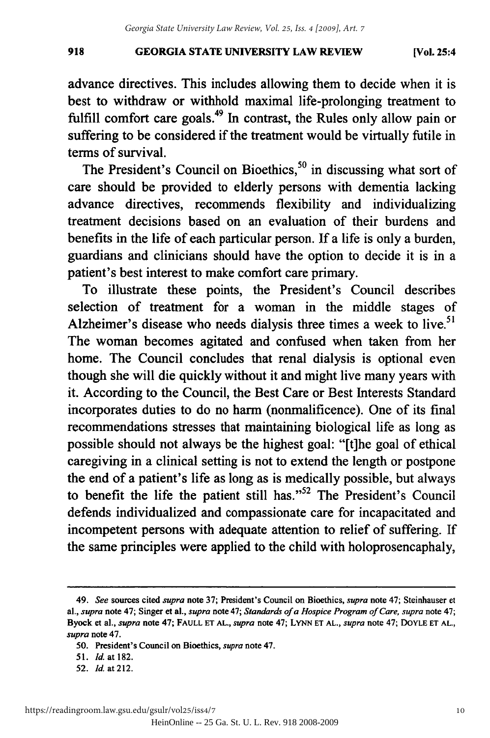#### **GEORGIA STATE UNIVERSITY LAW REVIEW** 918 GEORGIA STATE UNIVERSITY LAW REVIEW (Vol. 25:4

advance directives. This includes allowing them to decide when it is best to withdraw or withhold maximal life-prolonging treatment to fulfill comfort care goals.<sup>49</sup> In contrast, the Rules only allow pain or suffering to be considered if the treatment would be virtually futile in terms of survival.

The President's Council on Bioethics,<sup>50</sup> in discussing what sort of care should be provided to elderly persons with dementia lacking care should be provided to elderly persons with dementia lacking advance directives, recommends flexibility and individualizing advance directives, recommends flexibility and individualizing treatment decisions based on an evaluation of their burdens and treatment decisions based on an evaluation of their burdens and benefits in the life of each particular person. If a life is only a burden, benefits in the life of each particular person. If a life is only a burden, guardians and clinicians should have the option to decide it is in a guardians and clinicians should have the option to decide it is in a patient's best interest to make comfort care primary. patient's best interest to make comfort care primary.

To illustrate these points, the President's Council describes To illustrate these points, the President's Council describes selection of treatment for a woman in the middle stages of Alzheimer's disease who needs dialysis three times a week to live.<sup>51</sup> The woman becomes agitated and confused when taken from her The woman becomes agitated and confused from her home. The Council concludes that renal dialysis is optional even home. The Council concludes that renal dialysis is optional even though she will die quickly without it and might live many years with though she will die quickly without it and might live many years with it. According to the Council, the Best Care or Best Interests Standard incorporates duties to do no harm (nonmalificence). One of its final incorporates duties to do no harm (nonmalificence). One of its final recommendations stresses that maintaining biological life as long as recommendations stresses that maintaining biological life as long as possible should not always be the highest goal: "[tihe goal of ethical possible should not always the highest goal: "[t]he goal of ethical caregiving in a clinical setting is not to extend the length or postpone caregiving in a clinical setting is not to extend the length or postpone the end of a patient's life as long as is medically possible, but always the end of a patient's life as long as is medically possible, but always to benefit the life the patient still has." $52$  The President's Council defends individualized and compassionate care for incapacitated and defends individualized and compassionate care for incapacitated and incompetent persons with adequate attention to relief of suffering. If incompetent persons with adequate attention to relief of suffering. If the same principles were applied to the child with holoprosencaphaly, the same principles were applied to the child with holoprosencaphaly,

<sup>49.</sup> *See* sources **cited** *supra* **note 37;** President's Council on Bioethics, *supra* note 47; Steinhauser **et** 49. See sources cited *supra* note 37; President's Council on Bioethics, *supra* note 47; Steinhauser et al., *supra* note 47; Singer et al., *supra* note 47; Singer et al., *supra* note 47; Singer et al., *supra* note 47; Byock et al., *supra* note 47; FAULL ET AL., *supra* note 47; LYNN ET AL., *supra* note 47; DOYLE ET AL., *supra* note 47. *supra* note 47.

**<sup>50.</sup>** President's Council on Bioethics, *supra* note 47. 50. President's Council on Bioethics, *supra* note 47.

<sup>51.</sup> **Id.** at 182. 51. [d. at 182.

<sup>52.</sup> *Id.* at 212.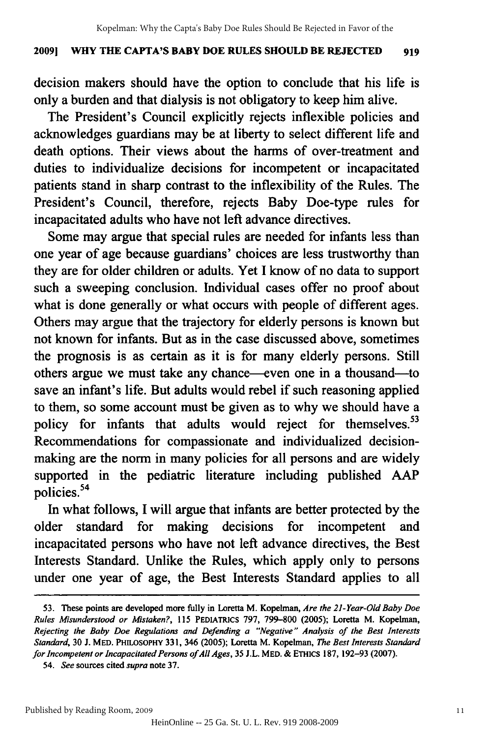#### **20091 WHY THE CAPTA'S BABY DOE RULES SHOULD BE REJECTED 919** 2009] WHY THE CAPTA'S BABY DOE RULES SHOULD BE REJECTED 919

decision makers should have the option to conclude that his life is only a burden and that dialysis is not obligatory to keep him alive.

The President's Council explicitly rejects inflexible policies and The President's Council explicitly rejects inflexible policies and acknowledges guardians may be at liberty to select different life and acknowledges guardians may be at liberty to select different life and death options. Their views about the harms of over-treatment and duties to individualize decisions for incompetent or incapacitated patients stand in sharp contrast to the inflexibility of the Rules. The President's Council, therefore, rejects Baby Doe-type rules for President's Council, therefore, rejects Baby Doe-type rules for incapacitated adults who have not left advance directives.

Some may argue that special rules are needed for infants less than one year of age because guardians' choices are less trustworthy than they are for older children or adults. Yet I know of no data to support such a sweeping conclusion. Individual cases offer no proof about what is done generally or what occurs with people of different ages. Others may argue that the trajectory for elderly persons is known but not known for infants. But as in the case discussed above, sometimes the prognosis is as certain as it is for many elderly persons. Still others argue we must take any chance—even one in a thousand—to save an infant's life. But adults would rebel if such reasoning applied to them, so some account must be given as to why we should have a to them, so some account must be given as to why we should have a policy for infants that adults would reject for themselves.<sup>53</sup> Recommendations for compassionate and individualized decision-Recommendations for compassionate and individualized decisionmaking are the norm in many policies for all persons and are widely making are the norm in many policies for all persons and are widely supported in the pediatric literature including published AAP policies.54 policies. 54

In what follows, I will argue that infants are better protected by the In what follows, I will argue that infants are better protected by the older standard for making decisions for incompetent and older standard for making decisions for incompetent and incapacitated persons who have not left advance directives, the Best incapacitated persons who have not left advance directives, the Best Interests Standard. Unlike the Rules, which apply only to persons Interests Standard. Unlike the Rules, which apply only to persons under one year of age, the Best Interests Standard applies to all under one year of age, the Best Interests Standard applies to all

<sup>53.</sup> These points are developed more fully in Loretta M. Kopelman, Are the 21-Year-Old Baby Doe *Rules Misunderstood or Mistaken?,* 115 PEDIATRICS 797, 799-800 (2005); Loretta M. Kopelman, *Rules Misunderstood or Mistaken?,* liS PEDIATRICS 797, 799-800 (2005); Loretta M. Kopelman, *Rejecting the Baby Doe Regulations and Defending a "Negative" Analysis of the Best Interests Rejecting the Baby Doe Regulations* and *Defending a "Negative" Analysis of the Best Interests*  Standard, 30 J. MED. PHILOSOPHY 331, 346 (2005); Loretta M. Kopelman, The Best Interests Standard *for Incompetent or Incapacitated Persons ofAllAges,* 35 J.L. MED. & ETHics 187, 192-93 (2007). *for Incompetent or Incapacitated Persons of All Ages, I.L.* MED. & ETHICS 187, 192-93 (2007).

<sup>54.</sup> *See* sources cited *supra* note **37.** *54. See* sources cited *supra* note 37.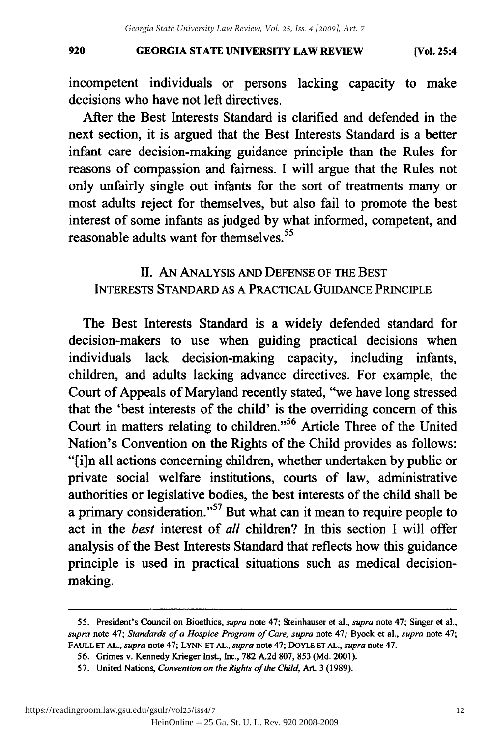**GEORGIA STATE UNIVERSITY LAW REVIEW** 920 GEORGIA STATE UNIVERSITY LAW REVIEW (Vol. 25:4

incompetent individuals or persons lacking capacity to make decisions who have not left directives. decisions who have left directives.

After the Best Interests Standard is clarified and defended in the After the Best Interests Standard is clarified and defended in the next section, it is argued that the Best Interests Standard is a better next section, it is argued that the Best Interests Standard is a better infant care decision-making guidance principle than the Rules for reasons of compassion and fairness. I will argue that the Rules not only unfairly single out infants for the sort of treatments many or most adults reject for themselves, but also fail to promote the best most adults reject for themselves, but also fail to promote the best interest of some infants as judged by what informed, competent, and interest of some infants as judged by what informed, competent, and reasonable adults want for themselves.<sup>55</sup>

II. **AN ANALYSIS AND DEFENSE OF THE BEST** II. AN ANALYSIS AND DEFENSE OF THE BEST **INTERESTS STANDARD AS** A PRACTICAL GUIDANCE PRINCIPLE INTERESTS STANDARD AS A PRACTICAL GUIDANCE PRINCIPLE

The Best Interests Standard is a widely defended standard for The Best Interests Standard is a widely defended standard for decision-makers to use when guiding practical decisions when decision-makers to use when guiding practical decisions when individuals lack decision-making capacity, including infants, individuals lack decision-making capacity, including infants, children, and adults lacking advance directives. For example, the children, and adults lacking advance directives. For example, the Court of Appeals of Maryland recently stated, "we have long stressed that the 'best interests of the child' is the overriding concern of this that the 'best interests of the child' is the overriding concern of this Court in matters relating to children."<sup>56</sup> Article Three of the United Nation's Convention on the Rights of the Child provides as follows: Nation's Convention on the Rights of the Child provides as follows: "[i]n all actions concerning children, whether undertaken by public or "[i]n all actions concerning children, whether undertaken by public or private social welfare institutions, courts of law, administrative private social welfare institutions, courts of law, administrative authorities or legislative bodies, the best interests of the child shall be a primary consideration."<sup>57</sup> But what can it mean to require people to act in the *best* interest of *all* children? In this section I will offer act in the *best* interest of *all* children? In I will offer analysis of the Best Interests Standard that reflects how this guidance analysis of Interests Standard that reflects how this guidance principle is used in practical situations such as medical decisionmaking. making.

<sup>55.</sup> President's Council on Bioethics, supra note 47; Steinhauser et al., supra note 47; Singer et al., supra note 47; Standards of a Hospice Program of Care, supra note 47; Byock et al., supra note 47; FAULL ET AL., *supra* note 47; LYNN ET AL., *supra* note 47; DOYLE ET AL., *supra* note 47. FAULLET AL., *supra* note 47; LYNNET *AL.,supra* note 47; DOYLE ET AL., *supra* 47.

<sup>56.</sup> Grimes v. Kennedy Krieger Inst., Inc., 782 A.2d 807, 853 (Md. 2001). 56. Grimes v. Kennedy Krieger Inst., Inc., 782 A.2d 807, 853 (Md. 2001).

<sup>57.</sup> United Nations, *Convention on the Rights of the Child*, Art. 3 (1989).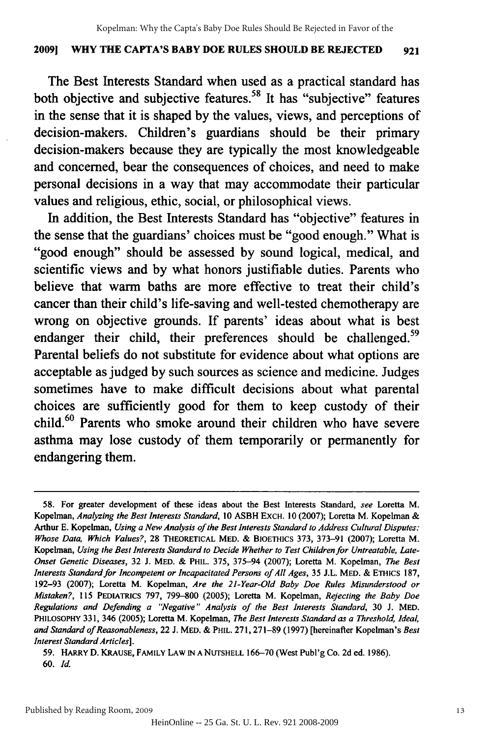#### **20091 WHY THE CAPTA'S BABY DOE RULES SHOULD BE REJECTED 921** 2009) WHY THE CAPTA'S BABY DOE RULES SHOULD BE REJECTED 921

The Best Interests Standard when used as a practical standard has The Best Interests Standard when used as a practical standard has both objective and subjective features.<sup>58</sup> It has "subjective" features in the sense that it is shaped by the values, views, and perceptions of in the sense that it is shaped by the values, views, and perceptions of decision-makers. Children's guardians should be their primary decision-makers. Children's guardians should be their primary decision-makers because they are typically the most knowledgeable and concerned, bear the consequences of choices, and need to make and concerned, bear the consequences of choices, and need to make personal decisions in a way that may accommodate their particular personal decisions in a way that may accommodate their particular values and religious, ethic, social, or philosophical views. values and religious, ethic, social, or philosophical views.

In addition, the Best Interests Standard has "objective" features in In addition, the Best Interests Standard has "objective" features in the sense that the guardians' choices must be "good enough." What is "good enough" should be assessed by sound logical, medical, and "good enough" should be assessed by sound logical, medical, and scientific views and by what honors justifiable duties. Parents who believe that warm baths are more effective to treat their child's cancer than their child's life-saving and well-tested chemotherapy are cancer than their child's life-saving and well-tested chemotherapy are wrong on objective grounds. If parents' ideas about what is best endanger their child, their preferences should be challenged.<sup>59</sup> Parental beliefs do not substitute for evidence about what options are Parental beliefs do not substitute for evidence about what options are acceptable as judged by such sources as science and medicine. Judges acceptable as judged by such sources as science Judges sometimes have to make difficult decisions about what parental sometimes have to make difficult decisions about what parental choices are sufficiently good for them to keep custody of their child.<sup>60</sup> Parents who smoke around their children who have severe asthma may lose custody of them temporarily or permanently for endangering them. endangering them.

<sup>58.</sup> For greater development of these ideas about the Best Interests Standard, *see* Loretta M. 58. For greater development of these ideas about the Best Interests Standard, *see* Loretta M. Kopelman, *Analyzing the Best Interests Standard,* 10 ASBH ExCH. 10 (2007); Loretta M. Kopelman & Kopelman, *Analyzing the Best Interests Standard,* 10 ASBH EXCH. (2007); Loretta M. Kopelman & Arthur E. Kopelman, *Using a New Analysis of the Best Interests Standard to Address Cultural Disputes:* Arthur E. Kopelman, *Using a New Analysis of the Best Interests Standard to Address Cultural Disputes: Whose Data, Which Values?,* 28 THEORETICAL MED. **&** BIOETHICs 373, 373-91 (2007); Loretta M. *Whose Data, Which Values?,* 28 THEORETICAL MED. & BIOETHICS 373, 373-91 (2007); Loretta M. Kopelman, *Using the Best Interests Standard to Decide Whether to Test Children for Untreatable, Late-*Kopelman, *Using the Best Interests Standard to Decide Whether to Test Children for Untreatable, Late-Onset Genetic Diseases,* 32 J. MED. **& PHIL.** 375, 375-94 (2007); Loretta M. Kopelman, *The Best Onset Genetic Diseases,* 32 J. MED. & PHIL. 375, 375-94 (2007); Loretta M. Kopelman, *The Best Interests Standard for Incompetent or Incapacitated Persons of All Ages,* 35 **J.L.** MED. **&** ETHIcs 187, *Interests Standard for Incompetent or Incapacitated Persons of All Ages,* 35 J.L. & ETHICS 187, 192-93 (2007); Loretta M. Kopelman, *Are the 21-Year-Old Baby Doe Rules Misunderstood or* 192-93 (2007); Loretta M. Kopelman, *Are the 21-Year-Old Baby Doe Rules Misunderstood or Mistaken?,* 115 PEDIATRICS 797, 799-800 (2005); Loretta M. Kopelman, *Rejecting the Baby Doe Mistaken?,* 115 PEDIATRICS 797, 799-800 (2005); Loretta M. Kopelman, *Rejecting the Baby Doe Regulations and Defending a "'Negative" Analysis of the Best Interests Standard,* 30 J. MED. *Regulations and Defending a "Negative" Analysis of the Best Interests Standard,* 30 J. MED. **PHILOSOPHY** 331, 346 (2005); Loretta M. Kopelman, *The Best Interests Standard as a Threshold, Ideal,* PHILOSOPHY 331, 346 (2005); Loretta M. Kopelman, *The Best Interests Standard as a Threshold, Ideal,*  and Standard of Reasonableness, 22 J. MED. & PHIL. 271, 271-89 (1997) [hereinafter Kopelman's Best *Interest Standard Articles]. Interest Standard Articles].* 

<sup>59.</sup> HARRY D. KRAUSE, FAMILY LAW **IN A NUTSHELL** 166-70 (West Publ'g Co. 2d ed. 1986). 59. HARRy D. KRAUSE, FAMILY LAW IN A NUTSHELL 166-70 (West Publ'g Co. 2d ed. 1986). 60. *Id. 60. Id.*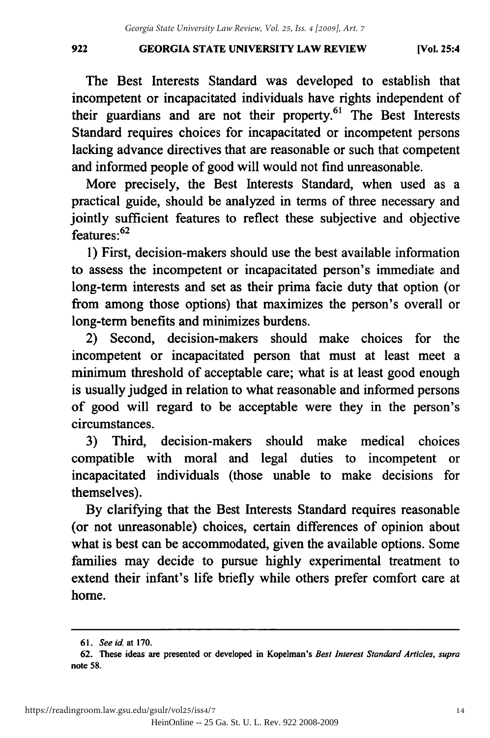**GEORGIA STATE UNIVERSITY LAW REVIEW** 922 GEORGIA STATE UNIVERSITY LAW REVIEW (Vol. 25:4

The Best Interests Standard was developed to establish that The Best Interests Standard was developed to establish that incompetent or incapacitated individuals have rights independent of incompetent or incapacitated individuals have rights independent of their guardians and are not their property.<sup>61</sup> The Best Interests Standard requires choices for incapacitated or incompetent persons Standard requires choices for incapacitated or incompetent persons lacking advance directives that are reasonable or such that competent lacking advance directives that are reasonable or such that competent and informed people of good will would not find unreasonable. and informed people of good will would unreasonable.

More precisely, the Best Interests Standard, when used as a More precisely, the Best Interests Standard, when used as a practical guide, should be analyzed in terms of three necessary and practical guide, should be analyzed in terms of three necessary and jointly sufficient features to reflect these subjective and objective  $f$ eatures:<sup>62</sup>

1) First, decision-makers should use the best available information I) First, decision-makers should use the best available information to assess the incompetent or incapacitated person's immediate and long-term interests and set as their prima facie duty that option (or from among those options) that maximizes the person's overall or from among those options) that maximizes the person's overall or long-term benefits and minimizes burdens. long-term benefits and minimizes burdens.

2) Second, decision-makers should make choices for the 2) Second, decision-makers should make choices for the incompetent or incapacitated person that must at least meet a incompetent or incapacitated person that must at least meet a minimum threshold of acceptable care; what is at least good enough minimum threshold of acceptable care; what is at least good enough is usually judged in relation to what reasonable and informed persons is usually judged in relation to what reasonable and informed persons of good will regard to be acceptable were they in the person's of good will regard to be acceptable were they in the person's circumstances. circumstances.

3) Third, decision-makers should make medical choices 3) Third, decision-makers should make medical choices compatible with moral and legal duties to incompetent or incapacitated individuals (those unable to make decisions for incapacitated individuals (those unable to make decisions for themselves). themselves).

By clarifying that the Best Interests Standard requires reasonable (or not unreasonable) choices, certain differences of opinion about what is best can be accommodated, given the available options. Some what is best can be accommodated, given the available options. Some families may decide to pursue highly experimental treatment to extend their infant's life briefly while others prefer comfort care at home. home.

*<sup>61.</sup> See id.* at **170.** 6\. *See id.* at 170.

**<sup>62.</sup>** These ideas are presented or developed in Kopelman's Best *Interest Standard Articles, supra* 62. These ideas are presented or developed in Kopelman's *Best Interest Standard Articles, supra*  note 58. 58.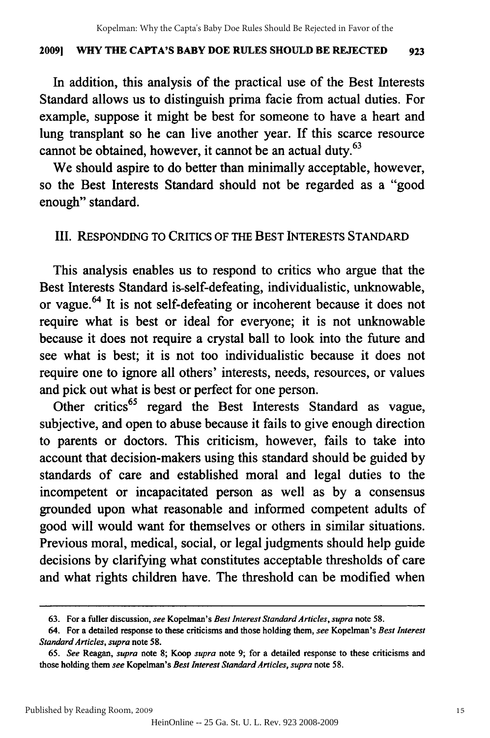#### **20091 WHY THE CAPTA'S BABY DOE RULES SHOULD BE REJECTED 923** 2009] WHY THE CAPTA'S BABY DOE RULES SHOULD BE REJECTED 923

In addition, this analysis of the practical use of the Best Interests In addition, this analysis of the practical use of the Best Interests Standard allows us to distinguish prima facie from actual duties. For example, suppose it might be best for someone to have a heart and lung transplant so he can live another year. If this scarce resource lung transplant so he can live another year. If this scarce resource cannot be obtained, however, it cannot be an actual duty.<sup>63</sup>

We should aspire to do better than minimally acceptable, however, We should aspire to do better than minimally acceptable, however, so the Best Interests Standard should not be regarded as a "good enough" standard. enough" standard.

### **III. RESPONDING TO CRITICS OF THE BEST INTERESTS STANDARD** III. RESPONDING TO CRITICS OF THE BEST INTERESTS STANDARD

This analysis enables us to respond to critics who argue that the This analysis enables us to respond to critics who argue that the Best Interests Standard is-self-defeating, individualistic, unknowable, Best Interests Standard is-self-defeating, individualistic, unknowable, or vague.<sup>64</sup> It is not self-defeating or incoherent because it does not require what is best or ideal for everyone; it is not unknowable require what is best or ideal for everyone; it is not unknowable because it does not require a crystal ball to look into the future and because it does not require a crystal ball to look into the future and see what is best; it is not too individualistic because it does not see what is best; it is not too individualistic because it does not require one to ignore all others' interests, needs, resources, or values require one to ignore all others' interests, needs, resources, or values and pick out what is best or perfect for one person. and pick out what is best or perfect for one person.

Other critics<sup>65</sup> regard the Best Interests Standard as vague, subjective, and open to abuse because it fails to give enough direction subjective, and open to abuse because it fails to give enough direction to parents or doctors. This criticism, however, fails to take into to parents or doctors. This criticism, however, fails to take into account that decision-makers using this standard should be guided **by** account that decision-makers using this standard should be guided by standards of care and established moral and legal duties to the incompetent or incapacitated person as well as **by** a consensus incompetent or incapacitated person as well as by a consensus grounded upon what reasonable and informed competent adults of grounded upon what reasonable and informed competent adults of good will would want for themselves or others in similar situations. good will would want for themselves or others in similar situations. Previous moral, medical, social, or legal judgments should help guide Previous moral, medical, social, or legal judgments should help guide decisions by clarifying what constitutes acceptable thresholds of care decisions by clarifying what constitutes acceptable thresholds of care and what rights children have. The threshold can be modified when and what rights children have. The threshold can be modified when

<sup>63.</sup> For a fuller discussion, *see Kopelman's Best Interest Standard Articles, supra* note 58. 63. For a fuller discussion, *see* Kopelman's *Best Interest Standard Articles, supra* note 58.

<sup>64.</sup> For a detailed response to these criticisms and those holding them, see Kopelman's Best Interest *Standard Articles, supra* note 58. *Standard Articles, supra* note 58.

<sup>65.</sup> See Reagan, *supra* note 8; Koop *supra* note 9; for a detailed response to these criticisms and those holding them *see* Kopelman's *Best Interest Standard Articles, supra* note 58. those holding them *see* Kopelman's *Best Interest Standard Articles, supra* note 58.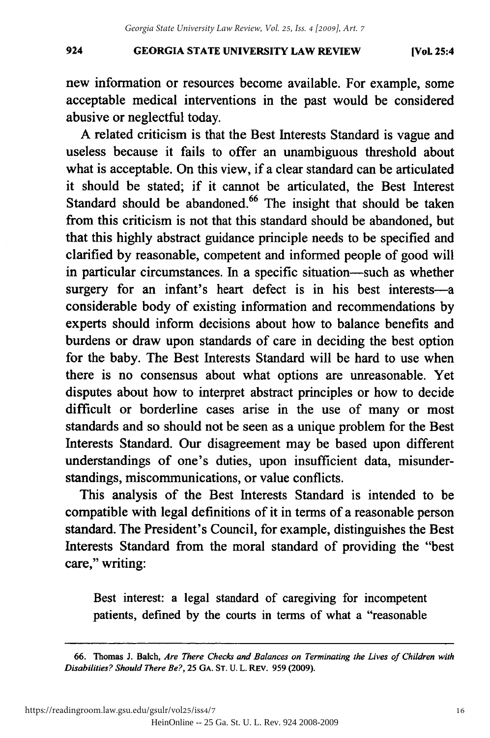new information or resources become available. For example, some new information or resources become available. For example, some acceptable medical interventions in the past would be considered acceptable medical interventions in the past would be considered abusive or neglectful today. abusive or neglectful today.

A related criticism is that the Best Interests Standard is vague and A related criticism is that the Best Interests Standard is vague and useless because it fails to offer an unambiguous threshold about useless because it fails to offer an unambiguous threshold about what is acceptable. On this view, if a clear standard can be articulated it should be stated; if it cannot be articulated, the Best Interest Standard should be abandoned.<sup>66</sup> The insight that should be taken from this criticism is not that this standard should be abandoned, but from this criticism is not that this standard should abandoned, but that this highly abstract guidance principle needs to be specified and that this highly abstract guidance principle needs to be specified and clarified by reasonable, competent and informed people of good will clarified by reasonable, competent and informed people of good will in particular circumstances. In a specific situation-such as whether surgery for an infant's heart defect is in his best interests-a considerable body of existing information and recommendations by considerable body of existing information and recommendations by experts should inform decisions about how to balance benefits and experts should inform decisions about how to balance benefits and burdens or draw upon standards of care in deciding the best option burdens or draw upon standards of care in deciding the best option for the baby. The Best Interests Standard will be hard to use when there is no consensus about what options are unreasonable. Yet there is no consensus about what options are unreasonable. Yet disputes about how to interpret abstract principles or how to decide disputes about how to interpret abstract principles or how to decide difficult or borderline cases arise in the use of many or most standards and so should not be seen as a unique problem for the Best Interests Standard. Our disagreement may be based upon different Interests Standard. Our disagreement may be based upon different understandings of one's duties, upon insufficient data, misunder-understandings of one's duties, upon insufficient data, misunderstandings, miscommunications, or value conflicts. standings, miscommunications, or conflicts.

This analysis of the Best Interests Standard is intended to be This analysis of the Best Interests Standard is intended to be compatible with legal definitions of it in terms of a reasonable person standard. The President's Council, for example, distinguishes the Best Interests Standard from the moral standard of providing the "best Interests Standard from the moral standard of providing the "best care," writing: care," writing:

Best interest: a legal standard of caregiving for incompetent patients, defined by the courts in terms of what a "reasonable

<sup>66.</sup> Thomas J. Balch, *Are There Checks and Balances on Terminating the Lives of Children with* 1. *Are There Checks and Balances on Terminating the Lives of Children with Disabilities? Should There Be?,* 25 GA. **ST.** U. L. REv. 959 (2009). *Disabilities? Should There Be?,* 25 GA. ST. U. L. REv. 959 (2009).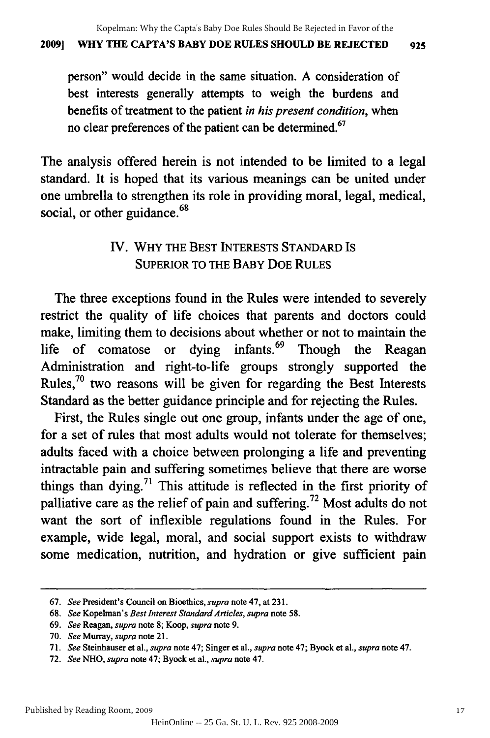#### **20091 WHY THE CAPTA'S BABY DOE RULES SHOULD BE REJECTED 925** 2009) WHY THE CAPTA'S BABY DOE RULES SHOULD BE REJECTED 925

person" would decide in the same situation. **A** consideration of person" would decide in same situation. A consideration of best interests generally attempts to weigh the burdens and benefits of treatment to the patient *in his present condition*, when no clear preferences of the patient can be determined.<sup>67</sup>

The analysis offered herein is not intended to be limited to a legal standard. It is hoped that its various meanings can be united under standard. It is hoped that its various meanings can be united under one umbrella to strengthen its role in providing moral, legal, medical, one umbrella to strengthen its providing moral, legal, medical, social, or other guidance.<sup>68</sup>

# IV. WHY THE BEST INTERESTS STANDARD IS SUPERIOR TO THE BABY DOE RULES SUPERIOR TO THE DOE RULES

The three exceptions found in the Rules were intended to severely restrict the quality of life choices that parents and doctors could make, limiting them to decisions about whether or not to maintain the life of comatose or dying infants.<sup>69</sup> Though the Reagan Administration and right-to-life groups strongly supported the Administration and right-to-life groups strongly supported the Rules,<sup>70</sup> two reasons will be given for regarding the Best Interests Standard as the better guidance principle and for rejecting the Rules. Standard as the better guidance principle and for rejecting the Rules.

First, the Rules single out one group, infants under the age of one, First, the Rules single out one group, infants under the age of one, for a set of rules that most adults would not tolerate for themselves; for a set of rules that most adults would not tolerate for themselves; adults faced with a choice between prolonging a life and preventing adults faced with a choice between prolonging a life and preventing intractable pain and suffering sometimes believe that there are worse intractable pain and suffering sometimes believe that there are worse things than dying.<sup>71</sup> This attitude is reflected in the first priority of palliative care as the relief of pain and suffering.<sup>72</sup> Most adults do not want the sort of inflexible regulations found in the Rules. For want the sort of inflexible regulations found in the Rules. For example, wide legal, moral, and social support exists to withdraw example, wide legal, moral, and social support exists to withdraw some medication, nutrition, and hydration or give sufficient pain

<sup>67.</sup> *See* President's Council on Bioethics, *supra* note 47, at **231.** *67. See* President's Council on Bioethics, *supra* note 47, at 231.

<sup>68.</sup> *See* Kopelman's *Best Interest Standard Articles, supra* note 58. *68. See* Kopelman's *Best Interest Standard Articles, supra* note 58.

<sup>69.</sup> *See* Reagan, *supra* note 8; Koop, *supra* note 9. *69. See* Reagan, *supra* note 8; Koop, *supra* note 9.

<sup>70.</sup> *See* Murray, *supra* note 21. *70. See* Murray, *supra* note 21.

<sup>71.</sup> See Steinhauser et al., supra note 47; Singer et al., supra note 47; Byock et al., supra note 47.

<sup>72.</sup> *See NHO, supra* note 47; Byock et al., *supra* note 47. *72.* NHO, *supra* note Byock aI., *supra* note 47.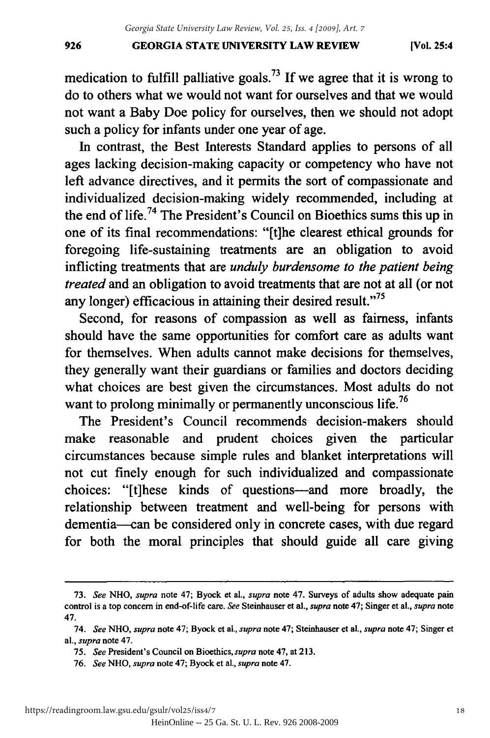#### **GEORGIA STATE UNIVERSITY LAW REVIEW** 926 GEORGIA STATE UNIVERSITY LAW REVIEW [Vol. 25:4

medication to fulfill palliative goals.<sup>73</sup> If we agree that it is wrong to do to others what we would not want for ourselves and that we would do to others what we would not want for ourselves and that we would not want a Baby Doe policy for ourselves, then we should not adopt not Baby Doe policy for ourselves, then we should not adopt such a policy for infants under one year of age.

In contrast, the Best Interests Standard applies to persons of all ages lacking decision-making capacity or competency who have not left advance directives, and it permits the sort of compassionate and individualized decision-making widely recommended, including at individualized decision-making widely recommended, including at the end of life.<sup>74</sup> The President's Council on Bioethics sums this up in one of its final recommendations: "[t]he clearest ethical grounds for foregoing life-sustaining treatments are an obligation to avoid foregoing life-sustaining treatments are an obligation to avoid inflicting treatments that are *unduly burdensome to the patient being* inflicting treatments that are *unduly burdensome to the patient being treated* and an obligation to avoid treatments that are not at all (or not *treated* and an obligation to avoid treatments that are not at all (or not any longer) efficacious in attaining their desired result.<sup>775</sup>

Second, for reasons of compassion as well as fairness, infants should have the same opportunities for comfort care as adults want for themselves. When adults cannot make decisions for themselves, they generally want their guardians or families and doctors deciding what choices are best given the circumstances. Most adults do not want to prolong minimally or permanently unconscious life.<sup>76</sup>

The President's Council recommends decision-makers should The President's Council recommends decision-makers should make reasonable and prudent choices given the particular make reasonable and prudent choices given the particular circumstances because simple rules and blanket interpretations will circumstances because simple rules and blanket interpretations will not cut finely enough for such individualized and compassionate not cut finely enough for such individualized and compassionate choices: "[t]hese kinds of questions--- and more broadly, the relationship between treatment and well-being for persons with dementia-can be considered only in concrete cases, with due regard for both the moral principles that should guide all care giving

**<sup>73.</sup>** *See NHO, supra* note 47; Byock et al., *supra* note 47. Surveys of adults show adequate pain *73. See* NHO, *supra* 47; Byock et aI., *supra* note 47. Surveys of adults show adequate pain control is a top concern in end-of-life care. See Steinhauser et al., supra note 47; Singer et al., supra note 47. 47.

<sup>74.</sup> See NHO, supra note 47; Byock et al., supra note 47; Steinhauser et al., supra note 47; Singer et *al., supra* note 47. al.. *supra* note 47.

*<sup>75.</sup> See* President's Council on Bioethics, *supra* note 47, at 213. *75. See* President's Council on Bioethics. *supra* note 47. at 213.

**<sup>76.</sup>** *See* **NHO,** *supra* note 47; Byock **et** al., *supra* note 47. *76.* NHO. *supra* Byock et aI., *supra* 47.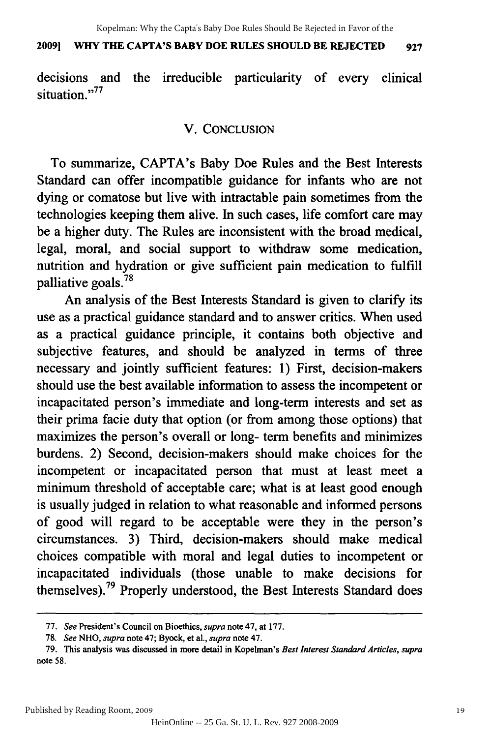#### **20091 WHY THE CAPTA'S BABY DOE RULES SHOULD BE REJECTED 927** 2009] WHY THE CAPTA'S BABY DOE RULES SHOULD BE REJECTED 927

decisions and the irreducible particularity of every clinical decisions and the irreducible particularity of every clinical situation."<sup>77</sup>

### V. **CONCLUSION** V. CONCLUSION

To summarize, CAPTA's Baby Doe Rules and the Best Interests To summarize, CAPTA's Baby Doe Rules and the Best Interests Standard can offer incompatible guidance for infants who are not Standard can offer incompatible guidance for infants who are not dying or comatose but live with intractable pain sometimes from the technologies keeping them alive. In such cases, life comfort care may technologies keeping them alive. In such cases, life comfort care may be a higher duty. The Rules are inconsistent with the broad medical, be a higher duty. The Rules are inconsistent with the broad medical, legal, moral, and social support to withdraw some medication, legal, moral, and social support to withdraw some medication, nutrition and hydration or give sufficient pain medication to fulfill palliative goals. <sup>78</sup> palliative goals.<sup>78</sup>

An analysis of the Best Interests Standard is given to clarify its use as a practical guidance standard and to answer critics. When used use as a practical guidance standard and to answer critics. When used as a practical guidance principle, it contains both objective and as a practical guidance principle, it contains both objective and subjective features, and should be analyzed in terms of three subjective features, and should be analyzed in terms of three necessary and jointly sufficient features: 1) First, decision-makers necessary and jointly sufficient features: 1) First, decision-makers should use the best available information to assess the incompetent or should use the best available information to assess the incompetent or incapacitated person's immediate and long-term interests and set as incapacitated person's immediate and long-term interests and set as their prima facie duty that option (or from among those options) that their prima facie duty that option (or from among those options) that maximizes the person's overall or long- term benefits and minimizes maximizes the person's overall or long- term benefits and minimizes burdens. 2) Second, decision-makers should make choices for the burdens. 2) Second, decision-makers should make choices for the incompetent or incapacitated person that must at least meet a incompetent or incapacitated person that must at least meet a minimum threshold of acceptable care; what is at least good enough minimum threshold of acceptable care; what is at least good enough is usually judged in relation to what reasonable and informed persons is usually judged in relation to what reasonable and informed persons of good will regard to be acceptable were they in the person's of good will regard to be acceptable were they in the person's circumstances. 3) Third, decision-makers should make medical circumstances. 3) Third, decision-makers should make medical choices compatible with moral and legal duties to incompetent or incapacitated individuals (those unable to make decisions for incapacitated individuals (those unable to make decisions for themselves).<sup>79</sup> Properly understood, the Best Interests Standard does

**<sup>77.</sup>** *See* President's Council on Bioethics, *supra* note 47, at **177.** *77. See* President's Council on Bioethics, *supra* note 47, at 177.

<sup>78.</sup> *See NHO, supra* note 47; Byock, et al., *supra* note 47. *78. See* NHO, *supra* note 47; Byock, et aI., *supra* note 47.

<sup>79.</sup> This analysis was discussed in more detail in Kopelman's *Best Interest Standard Articles, supra* 79. This analysis was discussed in more detail in Kopelman's *Best Interest Standard Articles, supra*  note 58. note 58.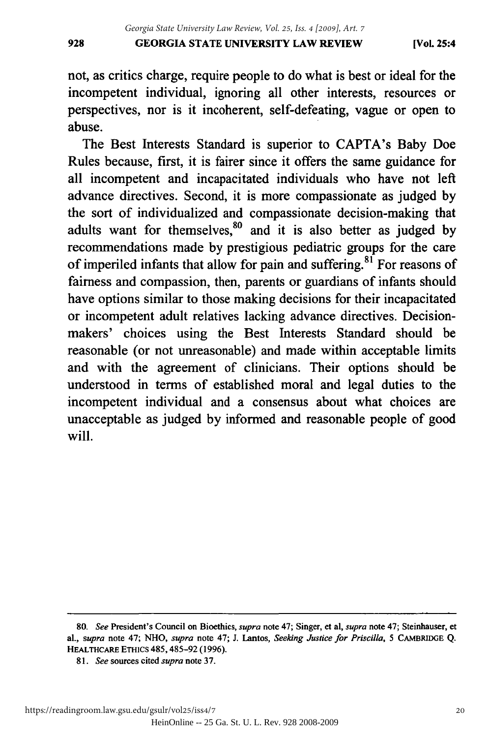not, as critics charge, require people to do what is best or ideal for the not, as critics charge, require people to do what is best or ideal for the incompetent individual, ignoring all other interests, resources or incompetent individual, ignoring all other interests, resources or perspectives, nor is it incoherent, self-defeating, vague or open to abuse. abuse.

The Best Interests Standard is superior to CAPTA's Baby Doe The Best Interests Standard is superior to CAPTA's Baby Doe Rules because, first, it is fairer since it offers the same guidance for all incompetent and incapacitated individuals who have not left advance directives. Second, it is more compassionate as judged by advance directives. Second, it is more compassionate as judged by the sort of individualized and compassionate decision-making that the sort of individualized and compassionate decision-making that adults want for themselves, <sup>80</sup> and it is also better as judged by recommendations made by prestigious pediatric groups for the care recommendations made by prestigious pediatric groups for the care of imperiled infants that allow for pain and suffering.<sup>81</sup> For reasons of fairness and compassion, then, parents or guardians of infants should fairness and compassion, then, parents or guardians of infants should have options similar to those making decisions for their incapacitated have options similar to those making decisions for their incapacitated or incompetent adult relatives lacking advance directives. Decisionmakers' choices using the Best Interests Standard should be makers' choices using the Best Interests Standard should be reasonable (or not unreasonable) and made within acceptable limits reasonable (or not unreasonable) and made within acceptable limits and with the agreement of clinicians. Their options should be and with the agreement of clinicians. Their options should be understood in terms of established moral and legal duties to the incompetent individual and a consensus about what choices are incompetent individual and a consensus about what choices are unacceptable as judged by informed and reasonable people of good unacceptable as judged by informed and reasonable people of good will. will.

<sup>80.</sup> See President's Council on Bioethics, supra note 47; Singer, et al, supra note 47; Steinhauser, et al., supra note 47; NHO, supra note 47; J. Lantos, Seeking Justice for Priscilla, 5 CAMBRIDGE Q. **HEALTHCARE** ETHics 485,485-92 **(1996).** HEALTHCARE ETHICS 485, 485-92 (1996).

**<sup>81.</sup>** *See* sources cited *supra* note **37.** 81. *See* sources cited *supra* note 37.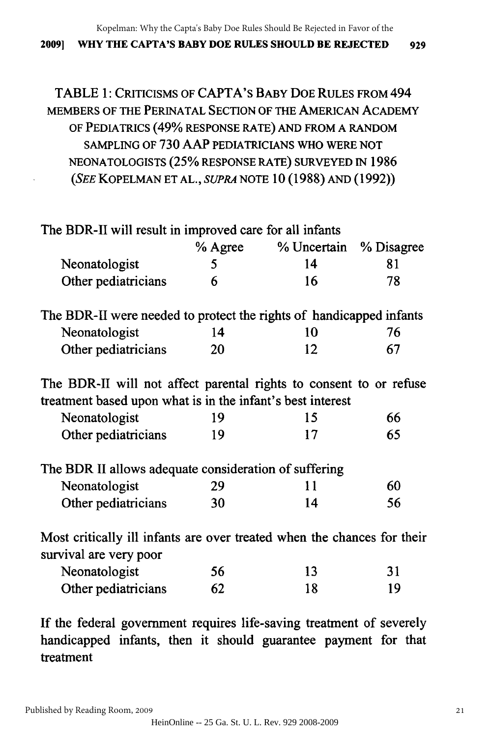Kopelman: Why the Capta's Baby Doe Rules Should Be Rejected in Favor of the

#### **20091 WHY THE CAPTA'S BABY DOE RULES SHOULD BE REJECTED 929** 2009] WHY THE CAPTA'S BABY DOE RULES SHOULD BE REJECTED 929

# TABLE 1: CRITICISMS **OF** CAPTA's **BABY DOE RULES** FROM 494 TABLE 1: CRITICISMS OF CAPT A's BABY DOE RULES FROM 494 MEMBERS OF THE PERINATAL SECTION OF THE AMERICAN ACADEMY MEMBERS OF THE PERINATAL SECTION OF THE AMERICAN ACADEMY OF PEDIATRICS (49% RESPONSE RATE) AND FROM A RANDOM OF PEDIATRICS (49% RESPONSE RATE) AND FROM A RANDOM SAMPLING OF **730** AAP PEDIATRICIANS WHO WERE NOT SAMPLING OF 730 AAP PEDIATRICIANS WHO WERE NOT NEONATOLOGISTS (25% RESPONSE RATE) SURVEYED IN 1986 NEONATOLOGISTS (25% RESPONSE RATE) SURVEYED IN 1986 *(SEE* KOPELMAN ET **AL.,** *SUPRA* NOTE 10 (1988) AND (1992)) (SEE KOPELMAN ET AL., *SUPRA* NOTE (1988) AND (1992))

| The BDR-II will result in improved care for all infants                                                                          |         |             |            |
|----------------------------------------------------------------------------------------------------------------------------------|---------|-------------|------------|
|                                                                                                                                  | % Agree | % Uncertain | % Disagree |
| Neonatologist                                                                                                                    | 5       | 14          | 81         |
| Other pediatricians                                                                                                              | 6       | 16          | 78         |
| The BDR-II were needed to protect the rights of handicapped infants                                                              |         |             |            |
| Neonatologist                                                                                                                    | 14      | 10          | 76         |
| Other pediatricians                                                                                                              | 20      | 12          | 67         |
| The BDR-II will not affect parental rights to consent to or refuse<br>treatment based upon what is in the infant's best interest |         |             |            |
| Neonatologist                                                                                                                    | 19      | 15          | 66         |
| Other pediatricians                                                                                                              | 19      | 17          | 65         |
| The BDR II allows adequate consideration of suffering                                                                            |         |             |            |
| Neonatologist                                                                                                                    | 29      | 11          | 60         |
| Other pediatricians                                                                                                              | 30      | 14          | 56         |
| Most critically ill infants are over treated when the chances for their<br>survival are very poor                                |         |             |            |
| Neonatologist                                                                                                                    | 56      | 13          | 31         |
| Other pediatricians                                                                                                              | 62      | 18          | 19         |

If the federal government requires life-saving treatment of severely If the federal government requires life-saving treatment of severely handicapped infants, then it should guarantee payment for that handicapped infants, then it should guarantee payment for that treatment treatment